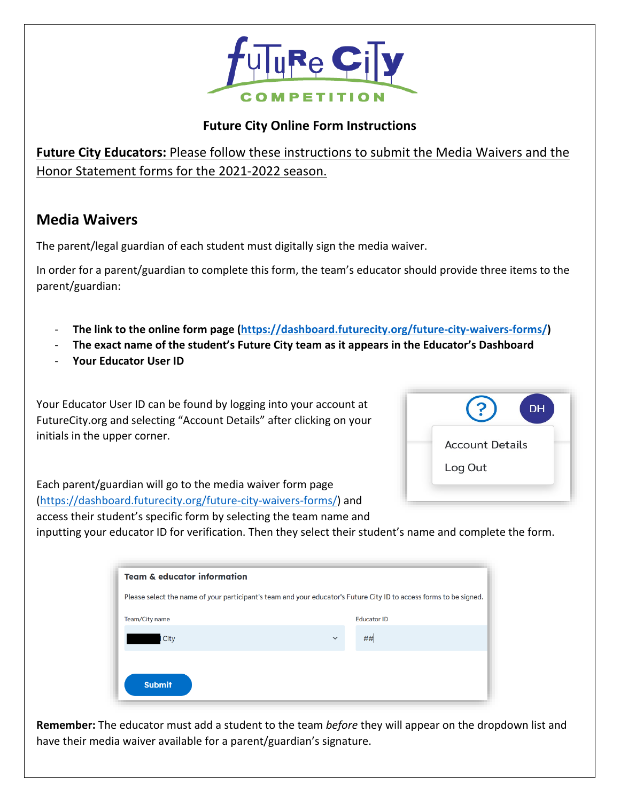

## **Future City Online Form Instructions**

**Future City Educators:** Please follow these instructions to submit the Media Waivers and the Honor Statement forms for the 2021-2022 season.

## **Media Waivers**

The parent/legal guardian of each student must digitally sign the media waiver.

In order for a parent/guardian to complete this form, the team's educator should provide three items to the parent/guardian:

- **The link to the online form page [\(https://dashboard.futurecity.org/future-city-waivers-forms/\)](https://dashboard.futurecity.org/future-city-waivers-forms/)**
- **The exact name of the student's Future City team as it appears in the Educator's Dashboard**
- **Your Educator User ID**

Your Educator User ID can be found by logging into your account at FutureCity.org and selecting "Account Details" after clicking on your initials in the upper corner.



Each parent/guardian will go to the media waiver form page [\(https://dashboard.futurecity.org/future-city-waivers-forms/\)](https://dashboard.futurecity.org/future-city-waivers-forms/) and access their student's specific form by selecting the team name and

inputting your educator ID for verification. Then they select their student's name and complete the form.

| <b>Team &amp; educator information</b>                                                                             |                    |  |  |  |  |
|--------------------------------------------------------------------------------------------------------------------|--------------------|--|--|--|--|
| Please select the name of your participant's team and your educator's Future City ID to access forms to be signed. |                    |  |  |  |  |
| Team/City name                                                                                                     | <b>Educator ID</b> |  |  |  |  |
| City                                                                                                               | ##<br>$\checkmark$ |  |  |  |  |
|                                                                                                                    |                    |  |  |  |  |
| <b>Submit</b>                                                                                                      |                    |  |  |  |  |

**Remember:** The educator must add a student to the team *before* they will appear on the dropdown list and have their media waiver available for a parent/guardian's signature.